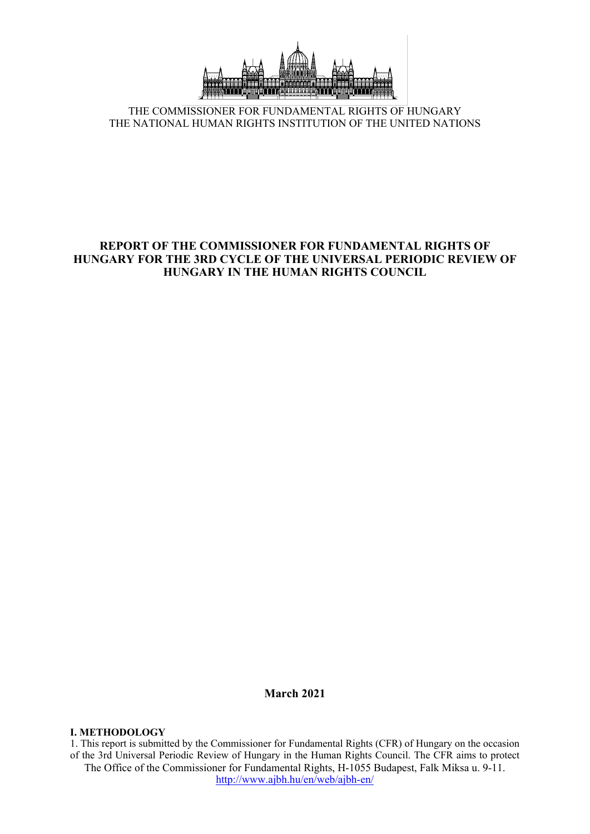

THE COMMISSIONER FOR FUNDAMENTAL RIGHTS OF HUNGARY THE NATIONAL HUMAN RIGHTS INSTITUTION OF THE UNITED NATIONS

# **REPORT OF THE COMMISSIONER FOR FUNDAMENTAL RIGHTS OF HUNGARY FOR THE 3RD CYCLE OF THE UNIVERSAL PERIODIC REVIEW OF HUNGARY IN THE HUMAN RIGHTS COUNCIL**

**March 2021**

### **I. METHODOLOGY**

The Office of the Commissioner for Fundamental Rights, H-1055 Budapest, Falk Miksa u. 9-11. <http://www.ajbh.hu/en/web/ajbh-en/> 1. This repor<sup>t</sup> is submitted by the Commissioner for Fundamental Rights (CFR) of Hungary on the occasion of the 3rd Universal Periodic Review of Hungary in the Human Rights Council. The CFR aims to protect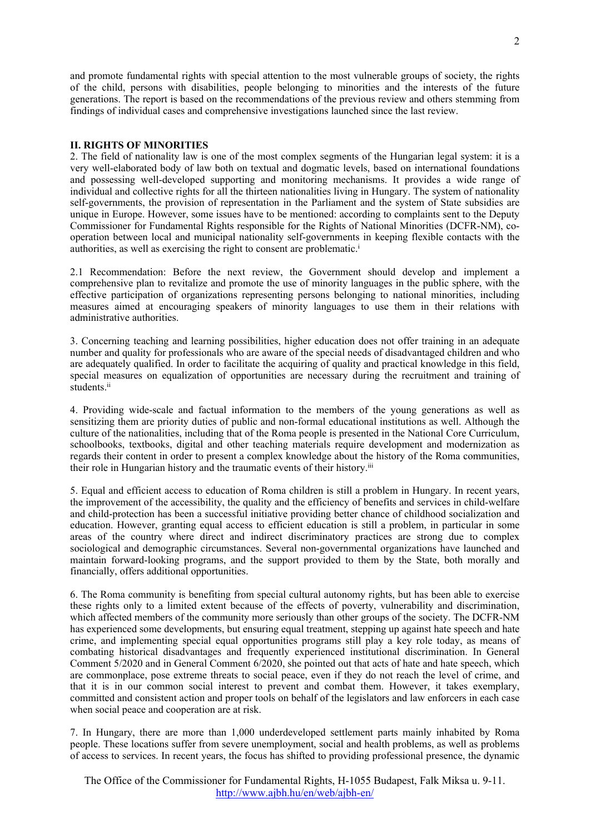and promote fundamental rights with special attention to the most vulnerable groups of society, the rights of the child, persons with disabilities, people belonging to minorities and the interests of the future generations. The repor<sup>t</sup> is based on the recommendations of the previous review and others stemming from findings of individual cases and comprehensive investigations launched since the last review.

#### **II. RIGHTS OF MINORITIES**

2. The field of nationality law is one of the most complex segments of the Hungarian legal system: it is <sup>a</sup> very well-elaborated body of law both on textual and dogmatic levels, based on international foundations and possessing well-developed supporting and monitoring mechanisms. It provides <sup>a</sup> wide range of individual and collective rights for all the thirteen nationalities living in Hungary. The system of nationality self-governments, the provision of representation in the Parliament and the system of State subsidies are unique in Europe. However, some issues have to be mentioned: according to complaints sent to the Deputy Commissioner for Fundamental Rights responsible for the Rights of National Minorities (DCFR-NM), cooperation between local and municipal nationality self-governments in keeping flexible contacts with the authorities, as well as exercising the right to consent are problematic. i

2.1 Recommendation: Before the next review, the Government should develop and implement <sup>a</sup> comprehensive plan to revitalize and promote the use of minority languages in the public sphere, with the effective participation of organizations representing persons belonging to national minorities, including measures aimed at encouraging speakers of minority languages to use them in their relations with administrative authorities.

3. Concerning teaching and learning possibilities, higher education does not offer training in an adequate number and quality for professionals who are aware of the special needs of disadvantaged children and who are adequately qualified. In order to facilitate the acquiring of quality and practical knowledge in this field, special measures on equalization of opportunities are necessary during the recruitment and training of students.<sup>ii</sup>

4. Providing wide-scale and factual information to the members of the young generations as well as sensitizing them are priority duties of public and non-formal educational institutions as well. Although the culture of the nationalities, including that of the Roma people is presented in the National Core Curriculum, schoolbooks, textbooks, digital and other teaching materials require development and modernization as regards their content in order to presen<sup>t</sup> <sup>a</sup> complex knowledge about the history of the Roma communities, their role in Hungarian history and the traumatic events of their history.<sup>iii</sup>

5. Equal and efficient access to education of Roma children is still <sup>a</sup> problem in Hungary. In recent years, the improvement of the accessibility, the quality and the efficiency of benefits and services in child-welfare and child-protection has been <sup>a</sup> successful initiative providing better chance of childhood socialization and education. However, granting equal access to efficient education is still <sup>a</sup> problem, in particular in some areas of the country where direct and indirect discriminatory practices are strong due to complex sociological and demographic circumstances. Several non-governmental organizations have launched and maintain forward-looking programs, and the suppor<sup>t</sup> provided to them by the State, both morally and financially, offers additional opportunities.

6. The Roma community is benefiting from special cultural autonomy rights, but has been able to exercise these rights only to <sup>a</sup> limited extent because of the effects of poverty, vulnerability and discrimination, which affected members of the community more seriously than other groups of the society. The DCFR-NM has experienced some developments, but ensuring equal treatment, stepping up against hate speech and hate crime, and implementing special equal opportunities programs still play <sup>a</sup> key role today, as means of combating historical disadvantages and frequently experienced institutional discrimination. In General Comment 5/2020 and in General Comment 6/2020, she pointed out that acts of hate and hate speech, which are commonplace, pose extreme threats to social peace, even if they do not reach the level of crime, and that it is in our common social interest to preven<sup>t</sup> and combat them. However, it takes exemplary, committed and consistent action and proper tools on behalf of the legislators and law enforcers in each case when social peace and cooperation are at risk.

7. In Hungary, there are more than 1,000 underdeveloped settlement parts mainly inhabited by Roma people. These locations suffer from severe unemployment, social and health problems, as well as problems of access to services. In recent years, the focus has shifted to providing professional presence, the dynamic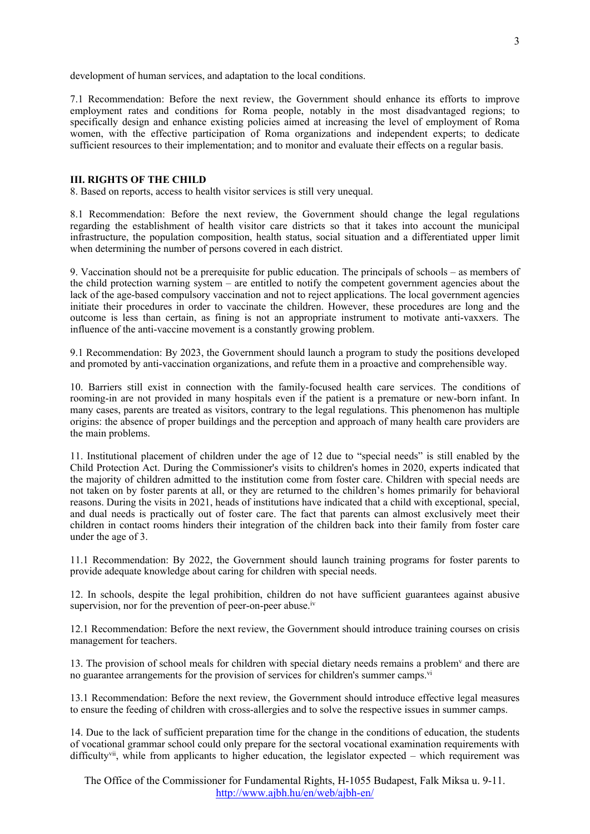development of human services, and adaptation to the local conditions.

7.1 Recommendation: Before the next review, the Government should enhance its efforts to improve employment rates and conditions for Roma people, notably in the most disadvantaged regions; to specifically design and enhance existing policies aimed at increasing the level of employment of Roma women, with the effective participation of Roma organizations and independent experts; to dedicate sufficient resources to their implementation; and to monitor and evaluate their effects on a regular basis.

#### **III. RIGHTS OF THE CHILD**

8. Based on reports, access to health visitor services is still very unequal.

8.1 Recommendation: Before the next review, the Government should change the legal regulations regarding the establishment of health visitor care districts so that it takes into account the municipal infrastructure, the population composition, health status, social situation and <sup>a</sup> differentiated upper limit when determining the number of persons covered in each district.

9. Vaccination should not be <sup>a</sup> prerequisite for public education. The principals of schools – as members of the child protection warning system – are entitled to notify the competent governmen<sup>t</sup> agencies about the lack of the age-based compulsory vaccination and not to reject applications. The local governmen<sup>t</sup> agencies initiate their procedures in order to vaccinate the children. However, these procedures are long and the outcome is less than certain, as fining is not an appropriate instrument to motivate anti-vaxxers. The influence of the anti-vaccine movement is <sup>a</sup> constantly growing problem.

9.1 Recommendation: By 2023, the Government should launch <sup>a</sup> program to study the positions developed and promoted by anti-vaccination organizations, and refute them in <sup>a</sup> proactive and comprehensible way.

10. Barriers still exist in connection with the family-focused health care services. The conditions of rooming-in are not provided in many hospitals even if the patient is <sup>a</sup> premature or new-born infant. In many cases, parents are treated as visitors, contrary to the legal regulations. This phenomenon has multiple origins: the absence of proper buildings and the perception and approach of many health care providers are the main problems.

11. Institutional placement of children under the age of 12 due to "special needs" is still enabled by the Child Protection Act. During the Commissioner's visits to children's homes in 2020, experts indicated that the majority of children admitted to the institution come from foster care. Children with special needs are not taken on by foster parents at all, or they are returned to the children'<sup>s</sup> homes primarily for behavioral reasons. During the visits in 2021, heads of institutions have indicated that <sup>a</sup> child with exceptional, special, and dual needs is practically out of foster care. The fact that parents can almost exclusively meet their children in contact rooms hinders their integration of the children back into their family from foster care under the age of 3.

11.1 Recommendation: By 2022, the Government should launch training programs for foster parents to provide adequate knowledge about caring for children with special needs.

12. In schools, despite the legal prohibition, children do not have sufficient guarantees against abusive supervision, nor for the prevention of peer-on-peer abuse.<sup>iv</sup>

12.1 Recommendation: Before the next review, the Government should introduce training courses on crisis managemen<sup>t</sup> for teachers.

13. The provision of school meals for children with special dietary needs remains a problem<sup>v</sup> and there are no guarantee arrangements for the provision of services for children's summer camps.<sup>vi</sup>

13.1 Recommendation: Before the next review, the Government should introduce effective legal measures to ensure the feeding of children with cross-allergies and to solve the respective issues in summer camps.

14. Due to the lack of sufficient preparation time for the change in the conditions of education, the students of vocational grammar school could only prepare for the sectoral vocational examination requirements with difficulty<sup>vii</sup>, while from applicants to higher education, the legislator expected – which requirement was

The Office of the Commissioner for Fundamental Rights, H-1055 Budapest, Falk Miksa u. 9-11. <http://www.ajbh.hu/en/web/ajbh-en/>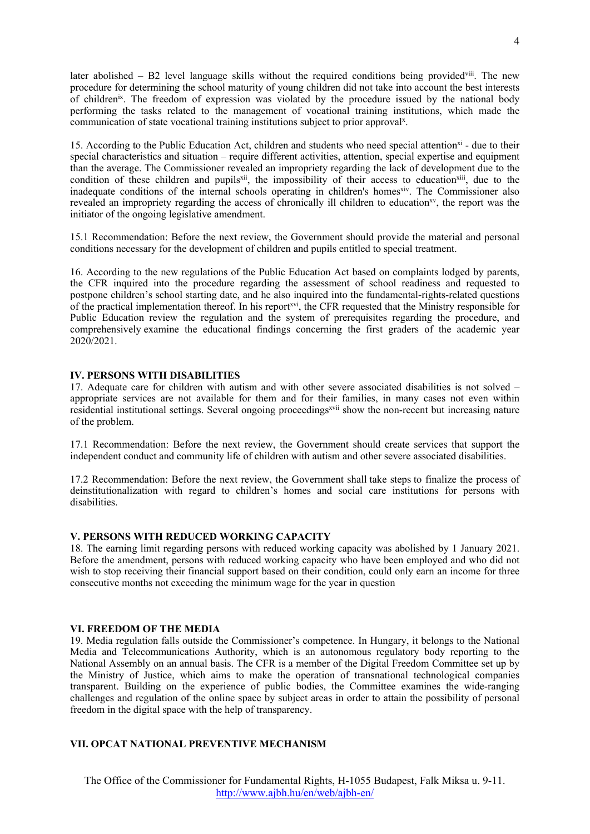later abolished – B2 level language skills without the required conditions being provided<sup>viii</sup>. The new procedure for determining the school maturity of young children did not take into account the best interests of children<sup>ix</sup>. The freedom of expression was violated by the procedure issued by the national body performing the tasks related to the managemen<sup>t</sup> of vocational training institutions, which made the communication of state vocational training institutions subject to prior approval<sup>x</sup>.

15. According to the Public Education Act, children and students who need special attention<sup>xi</sup> - due to their special characteristics and situation – require different activities, attention, special expertise and equipment than the average. The Commissioner revealed an impropriety regarding the lack of development due to the condition of these children and pupils<sup>xii</sup>, the impossibility of their access to education<sup>xiii</sup>, due to the inadequate conditions of the internal schools operating in children's homes<sup>xiv</sup>. The Commissioner also revealed an impropriety regarding the access of chronically ill children to education<sup>xv</sup>, the report was the initiator of the ongoing legislative amendment.

15.1 Recommendation: Before the next review, the Government should provide the material and personal conditions necessary for the development of children and pupils entitled to special treatment.

16. According to the new regulations of the Public Education Act based on complaints lodged by parents, the CFR inquired into the procedure regarding the assessment of school readiness and requested to postpone children'<sup>s</sup> school starting date, and he also inquired into the fundamental-rights-related questions of the practical implementation thereof. In his report<sup>xvi</sup>, the CFR requested that the Ministry responsible for Public Education review the regulation and the system of prerequisites regarding the procedure, and comprehensively examine the educational findings concerning the first graders of the academic year 2020/2021.

### **IV. PERSONS WITH DISABILITIES**

17. Adequate care for children with autism and with other severe associated disabilities is not solved – appropriate services are not available for them and for their families, in many cases not even within residential institutional settings. Several ongoing proceedings<sup>xvii</sup> show the non-recent but increasing nature of the problem.

17.1 Recommendation: Before the next review, the Government should create services that suppor<sup>t</sup> the independent conduct and community life of children with autism and other severe associated disabilities.

17.2 Recommendation: Before the next review, the Government shall take steps to finalize the process of deinstitutionalization with regard to children'<sup>s</sup> homes and social care institutions for persons with disabilities.

### **V. PERSONS WITH REDUCED WORKING CAPACITY**

18. The earning limit regarding persons with reduced working capacity was abolished by 1 January 2021. Before the amendment, persons with reduced working capacity who have been employed and who did not wish to stop receiving their financial support based on their condition, could only earn an income for three consecutive months not exceeding the minimum wage for the year in question

### **VI. FREEDOM OF THE MEDIA**

19. Media regulation falls outside the Commissioner'<sup>s</sup> competence. In Hungary, it belongs to the National Media and Telecommunications Authority, which is an autonomous regulatory body reporting to the National Assembly on an annual basis. The CFR is <sup>a</sup> member of the Digital Freedom Committee set up by the Ministry of Justice, which aims to make the operation of transnational technological companies transparent. Building on the experience of public bodies, the Committee examines the wide-ranging challenges and regulation of the online space by subject areas in order to attain the possibility of personal freedom in the digital space with the help of transparency.

# **VII. OPCAT NATIONAL PREVENTIVE MECHANISM**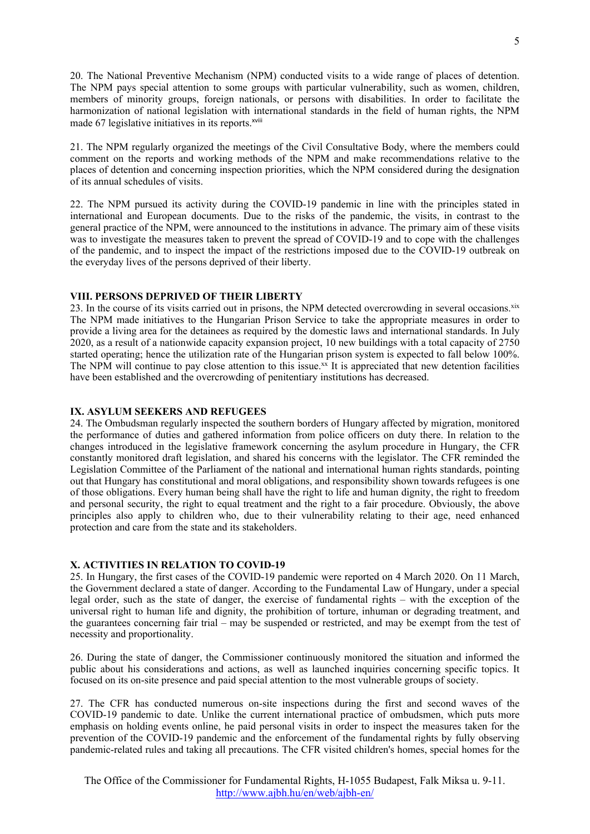20. The National Preventive Mechanism (NPM) conducted visits to <sup>a</sup> wide range of places of detention. The NPM pays special attention to some groups with particular vulnerability, such as women, children, members of minority groups, foreign nationals, or persons with disabilities. In order to facilitate the harmonization of national legislation with international standards in the field of human rights, the NPM made 67 legislative initiatives in its reports.<sup>xviii</sup>

21. The NPM regularly organized the meetings of the Civil Consultative Body, where the members could comment on the reports and working methods of the NPM and make recommendations relative to the places of detention and concerning inspection priorities, which the NPM considered during the designation of its annual schedules of visits.

22. The NPM pursued its activity during the COVID-19 pandemic in line with the principles stated in international and European documents. Due to the risks of the pandemic, the visits, in contrast to the general practice of the NPM, were announced to the institutions in advance. The primary aim of these visits was to investigate the measures taken to preven<sup>t</sup> the spread of COVID-19 and to cope with the challenges of the pandemic, and to inspect the impact of the restrictions imposed due to the COVID-19 outbreak on the everyday lives of the persons deprived of their liberty.

### **VIII. PERSONS DEPRIVED OF THEIR LIBERTY**

23. In the course of its visits carried out in prisons, the NPM detected overcrowding in several occasions.<sup>xix</sup> The NPM made initiatives to the Hungarian Prison Service to take the appropriate measures in order to provide <sup>a</sup> living area for the detainees as required by the domestic laws and international standards. In July 2020, as <sup>a</sup> result of <sup>a</sup> nationwide capacity expansion project, 10 new buildings with <sup>a</sup> total capacity of 2750 started operating; hence the utilization rate of the Hungarian prison system is expected to fall below 100%. The NPM will continue to pay close attention to this issue.<sup>xx</sup> It is appreciated that new detention facilities have been established and the overcrowding of penitentiary institutions has decreased.

### **IX. ASYLUM SEEKERS AND REFUGEES**

24. The Ombudsman regularly inspected the southern borders of Hungary affected by migration, monitored the performance of duties and gathered information from police officers on duty there. In relation to the changes introduced in the legislative framework concerning the asylum procedure in Hungary, the CFR constantly monitored draft legislation, and shared his concerns with the legislator. The CFR reminded the Legislation Committee of the Parliament of the national and international human rights standards, pointing out that Hungary has constitutional and moral obligations, and responsibility shown towards refugees is one of those obligations. Every human being shall have the right to life and human dignity, the right to freedom and personal security, the right to equal treatment and the right to <sup>a</sup> fair procedure. Obviously, the above principles also apply to children who, due to their vulnerability relating to their age, need enhanced protection and care from the state and its stakeholders.

## **X. ACTIVITIES IN RELATION TO COVID-19**

25. In Hungary, the first cases of the COVID-19 pandemic were reported on 4 March 2020. On 11 March, the Government declared <sup>a</sup> state of danger. According to the Fundamental Law of Hungary, under <sup>a</sup> special legal order, such as the state of danger, the exercise of fundamental rights – with the exception of the universal right to human life and dignity, the prohibition of torture, inhuman or degrading treatment, and the guarantees concerning fair trial – may be suspended or restricted, and may be exemp<sup>t</sup> from the test of necessity and proportionality.

26. During the state of danger, the Commissioner continuously monitored the situation and informed the public about his considerations and actions, as well as launched inquiries concerning specific topics. It focused on its on-site presence and paid special attention to the most vulnerable groups of society.

27. The CFR has conducted numerous on-site inspections during the first and second waves of the COVID-19 pandemic to date. Unlike the current international practice of ombudsmen, which puts more emphasis on holding events online, he paid personal visits in order to inspect the measures taken for the prevention of the COVID-19 pandemic and the enforcement of the fundamental rights by fully observing pandemic-related rules and taking all precautions. The CFR visited children's homes, special homes for the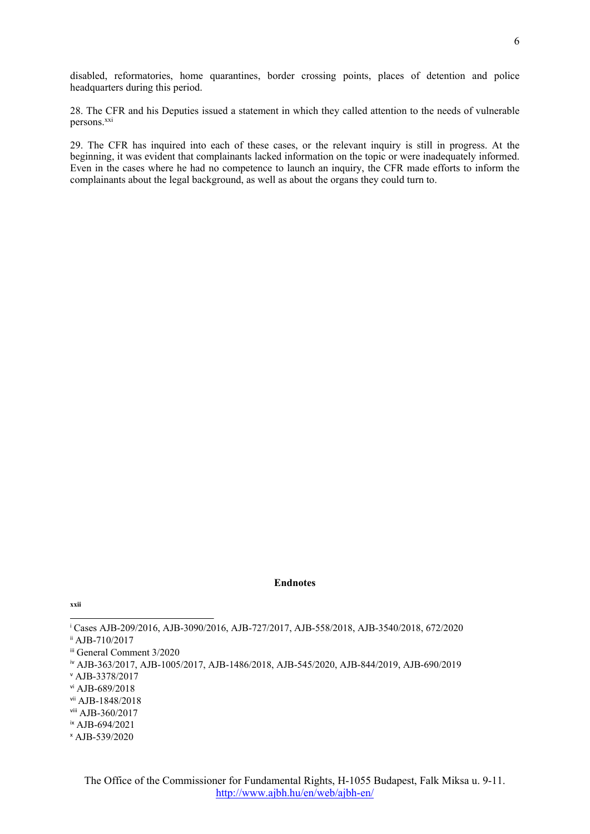disabled, reformatories, home quarantines, border crossing points, places of detention and police headquarters during this period.

28. The CFR and his Deputies issued <sup>a</sup> statement in which they called attention to the needs of vulnerable persons.<sup>xxi</sup>

29. The CFR has inquired into each of these cases, or the relevant inquiry is still in progress. At the beginning, it was evident that complainants lacked information on the topic or were inadequately informed. Even in the cases where he had no competence to launch an inquiry, the CFR made efforts to inform the complainants about the legal background, as well as about the organs they could turn to.

#### **Endnotes**

i Cases AJB-209/2016, AJB-3090/2016, AJB-727/2017, AJB-558/2018, AJB-3540/2018, 672/2020 ii AJB-710/2017

iii General Comment 3/2020

iv AJB-363/2017, AJB-1005/2017, AJB-1486/2018, AJB-545/2020, AJB-844/2019, AJB-690/2019

<sup>v</sup> AJB-3378/2017

vi AJB-689/2018

vii AJB-1848/2018

viii AJB-360/2017

ix AJB-694/2021

<sup>x</sup> AJB-539/2020